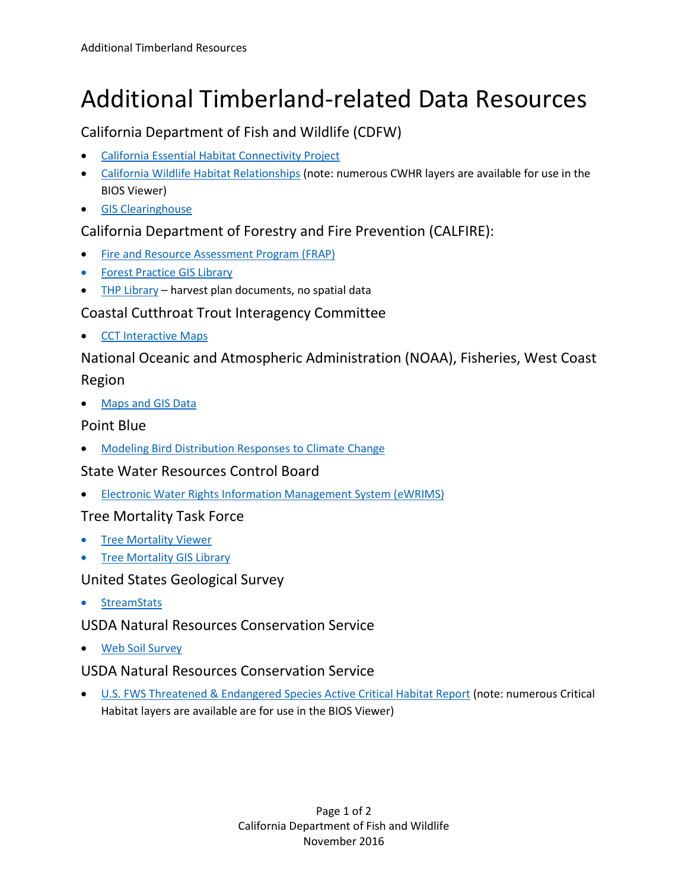# Additional Timberland-related Data Resources

## California Department of Fish and Wildlife (CDFW)

- [California Essential Habitat Connectivity Project](https://www.wildlife.ca.gov/Conservation/Planning/Connectivity/CEHC)
- [California Wildlife Habitat Relationships](https://www.wildlife.ca.gov/Data/CWHR) (note: numerous CWHR layers are available for use in the BIOS Viewer)
- [GIS Clearinghouse](https://www.wildlife.ca.gov/Data/GIS/Clearinghouse)

## California Department of Forestry and Fire Prevention (CALFIRE):

- [Fire and Resource Assessment Program \(FRAP\)](http://frap.fire.ca.gov/)
- [Forest Practice GIS Library](ftp://ftp.fire.ca.gov/forest/)
- [THP Library](ftp://thp.fire.ca.gov/THPLibrary/) harvest plan documents, no spatial data

#### Coastal Cutthroat Trout Interagency Committee

[CCT Interactive Maps](http://www.coastalcutthroattrout.org/sample-page/cct-interactive-map)

## National Oceanic and Atmospheric Administration (NOAA), Fisheries, West Coast

#### Region

• [Maps and GIS Data](http://www.westcoast.fisheries.noaa.gov/maps_data/maps_and_gis_data.html)

#### Point Blue

• [Modeling Bird Distribution Responses to Climate Change](http://data.prbo.org/cadc/tools/ccweb2/index.php)

## State Water Resources Control Board

[Electronic Water Rights Information Management System \(eWRIMS\)](http://www.waterboards.ca.gov/waterrights/water_issues/programs/ewrims/index.shtml)

#### Tree Mortality Task Force

- **[Tree Mortality Viewer](http://egis.fire.ca.gov/TreeMortalityViewer/)**
- **[Tree Mortality GIS Library](http://egis.fire.ca.gov/arcgis/rest/services)**

#### United States Geological Survey

**[StreamStats](http://water.usgs.gov/osw/streamstats/index.html)** 

## USDA Natural Resources Conservation Service

[Web Soil Survey](http://websoilsurvey.sc.egov.usda.gov/App/HomePage.htm)

#### USDA Natural Resources Conservation Service

 [U.S. FWS Threatened & Endangered Species Active Critical Habitat Report](https://ecos.fws.gov/ecp/report/table/critical-habitat.html) (note: numerous Critical Habitat layers are available are for use in the BIOS Viewer)